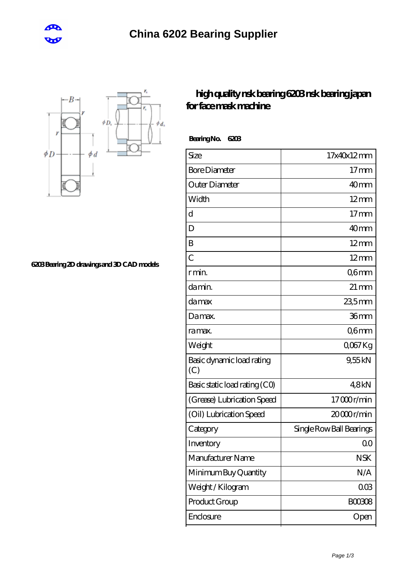



**[6203 Bearing 2D drawings and 3D CAD models](https://m.cretan-music.com/pic-824061.html)**

## **[high quality nsk bearing 6203 nsk bearing japan](https://m.cretan-music.com/nsk-629z-bearing/nsk-6203.html) [for face mask machine](https://m.cretan-music.com/nsk-629z-bearing/nsk-6203.html)**

 **Bearing No. 6203**

| Size                             | 17x40x12mm               |
|----------------------------------|--------------------------|
| <b>Bore Diameter</b>             | $17 \text{mm}$           |
| Outer Diameter                   | 40 <sub>mm</sub>         |
| Width                            | $12 \text{mm}$           |
| d                                | $17$ mm                  |
| D                                | 40mm                     |
| B                                | $12 \text{mm}$           |
| $\overline{C}$                   | $12 \text{mm}$           |
| r min.                           | Q6mm                     |
| da min.                          | $21 \,\mathrm{mm}$       |
| damax                            | $235$ mm                 |
| Damax.                           | 36mm                     |
| ra max.                          | Q6mm                     |
| Weight                           | Q067Kg                   |
| Basic dynamic load rating<br>(C) | 9,55kN                   |
| Basic static load rating (CO)    | 48kN                     |
| (Grease) Lubrication Speed       | 17000r/min               |
| (Oil) Lubrication Speed          | 20000r/min               |
| Category                         | Single Row Ball Bearings |
| Inventory                        | Q0                       |
| Manufacturer Name                | <b>NSK</b>               |
| Minimum Buy Quantity             | N/A                      |
| Weight / Kilogram                | 003                      |
| Product Group                    | <b>BOO3O8</b>            |
| Enclosure                        | Open                     |
|                                  |                          |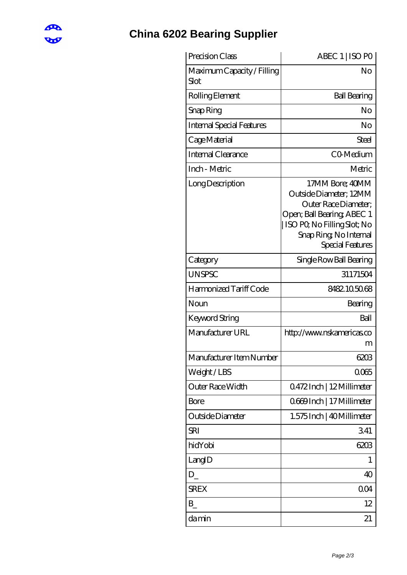

## **[China 6202 Bearing Supplier](https://m.cretan-music.com)**

| Precision Class                    | ABEC 1   ISO PO                                                                                                                                                               |
|------------------------------------|-------------------------------------------------------------------------------------------------------------------------------------------------------------------------------|
| Maximum Capacity / Filling<br>Slot | No                                                                                                                                                                            |
| Rolling Element                    | <b>Ball Bearing</b>                                                                                                                                                           |
| Snap Ring                          | No                                                                                                                                                                            |
| <b>Internal Special Features</b>   | No                                                                                                                                                                            |
| Cage Material                      | <b>Steel</b>                                                                                                                                                                  |
| Internal Clearance                 | CO-Medium                                                                                                                                                                     |
| Inch - Metric                      | Metric                                                                                                                                                                        |
| Long Description                   | 17MM Bore; 40MM<br>Outside Diameter; 12MM<br>Outer Race Diameter;<br>Open; Ball Bearing; ABEC 1<br>  ISO PQ No Filling Slot; No<br>Snap Ring, No Internal<br>Special Features |
| Category                           | Single Row Ball Bearing                                                                                                                                                       |
| <b>UNSPSC</b>                      | 31171504                                                                                                                                                                      |
| Harmonized Tariff Code             | 8482.105068                                                                                                                                                                   |
| Noun                               | Bearing                                                                                                                                                                       |
| <b>Keyword String</b>              | Ball                                                                                                                                                                          |
| Manufacturer URL                   | http://www.nskamericas.co<br>m                                                                                                                                                |
| Manufacturer Item Number           | 6203                                                                                                                                                                          |
| Weight/LBS                         | 0065                                                                                                                                                                          |
| Outer Race Width                   | Q472Inch   12Millimeter                                                                                                                                                       |
| Bore                               | 0669Inch   17 Millimeter                                                                                                                                                      |
| Outside Diameter                   | 1.575 Inch   40 Millimeter                                                                                                                                                    |
| SRI                                | 341                                                                                                                                                                           |
| hidYobi                            | 6203                                                                                                                                                                          |
| LangID                             | 1                                                                                                                                                                             |
| $D_{-}$                            | 40                                                                                                                                                                            |
| <b>SREX</b>                        | 0 <sub>O</sub> 4                                                                                                                                                              |
| $B_{-}$                            | 12                                                                                                                                                                            |
| damin                              | 21                                                                                                                                                                            |